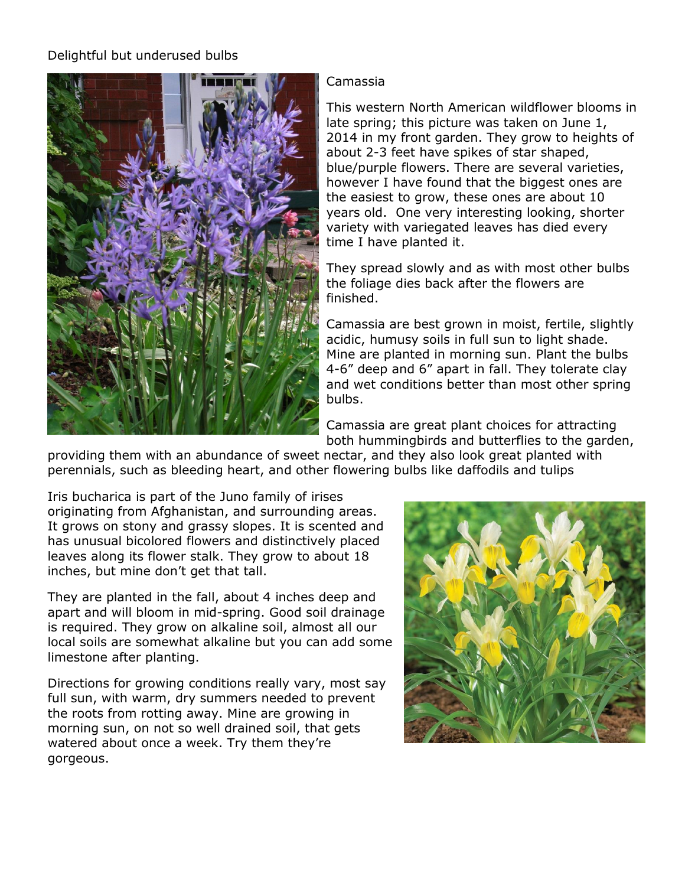## Delightful but underused bulbs



## Camassia

This western North American wildflower blooms in late spring; this picture was taken on June 1, 2014 in my front garden. They grow to heights of about 2-3 feet have spikes of star shaped, blue/purple flowers. There are several varieties, however I have found that the biggest ones are the easiest to grow, these ones are about 10 years old. One very interesting looking, shorter variety with variegated leaves has died every time I have planted it.

They spread slowly and as with most other bulbs the foliage dies back after the flowers are finished.

Camassia are best grown in moist, fertile, slightly acidic, humusy soils in full sun to light shade. Mine are planted in morning sun. Plant the bulbs 4-6" deep and 6" apart in fall. They tolerate clay and wet conditions better than most other spring bulbs.

Camassia are great plant choices for attracting both hummingbirds and butterflies to the garden,

providing them with an abundance of sweet nectar, and they also look great planted with perennials, such as bleeding heart, and other flowering bulbs like daffodils and tulips

Iris bucharica is part of the Juno family of irises originating from Afghanistan, and surrounding areas. It grows on stony and grassy slopes. It is scented and has unusual bicolored flowers and distinctively placed leaves along its flower stalk. They grow to about 18 inches, but mine don't get that tall.

They are planted in the fall, about 4 inches deep and apart and will bloom in mid-spring. Good soil drainage is required. They grow on alkaline soil, almost all our local soils are somewhat alkaline but you can add some limestone after planting.

Directions for growing conditions really vary, most say full sun, with warm, dry summers needed to prevent the roots from rotting away. Mine are growing in morning sun, on not so well drained soil, that gets watered about once a week. Try them they're gorgeous.